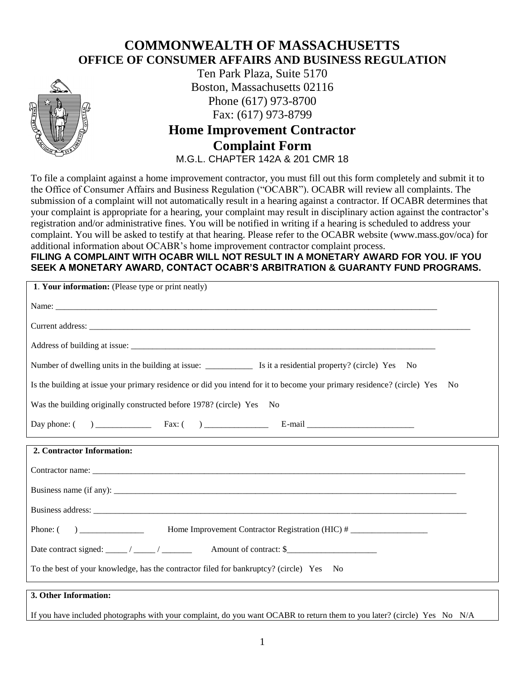## **COMMONWEALTH OF MASSACHUSETTS OFFICE OF CONSUMER AFFAIRS AND BUSINESS REGULATION**



Ten Park Plaza, Suite 5170 Boston, Massachusetts 02116 Phone (617) 973-8700 Fax: (617) 973-8799

## **Home Improvement Contractor Complaint Form** M.G.L. CHAPTER 142A & 201 CMR 18

To file a complaint against a home improvement contractor, you must fill out this form completely and submit it to the Office of Consumer Affairs and Business Regulation ("OCABR"). OCABR will review all complaints. The submission of a complaint will not automatically result in a hearing against a contractor. If OCABR determines that your complaint is appropriate for a hearing, your complaint may result in disciplinary action against the contractor's registration and/or administrative fines. You will be notified in writing if a hearing is scheduled to address your complaint. You will be asked to testify at that hearing. Please refer to the OCABR website (www.mass.gov/oca) for additional information about OCABR's home improvement contractor complaint process.

## **FILING A COMPLAINT WITH OCABR WILL NOT RESULT IN A MONETARY AWARD FOR YOU. IF YOU SEEK A MONETARY AWARD, CONTACT OCABR'S ARBITRATION & GUARANTY FUND PROGRAMS.**

| 1. Your information: (Please type or print neatly)                                                                      |      |
|-------------------------------------------------------------------------------------------------------------------------|------|
|                                                                                                                         |      |
|                                                                                                                         |      |
|                                                                                                                         |      |
|                                                                                                                         |      |
| Is the building at issue your primary residence or did you intend for it to become your primary residence? (circle) Yes | - No |
| Was the building originally constructed before 1978? (circle) Yes No                                                    |      |
|                                                                                                                         |      |
| 2. Contractor Information:                                                                                              |      |
|                                                                                                                         |      |
|                                                                                                                         |      |
|                                                                                                                         |      |
| Phone: () ________________ Home Improvement Contractor Registration (HIC) # ______________                              |      |
| Date contract signed: _____/ _____/ ________ Amount of contract: \$_______________                                      |      |
| To the best of your knowledge, has the contractor filed for bankruptcy? (circle) Yes No                                 |      |
| 3. Other Information:                                                                                                   |      |

## If you have included photographs with your complaint, do you want OCABR to return them to you later? (circle) Yes No N/A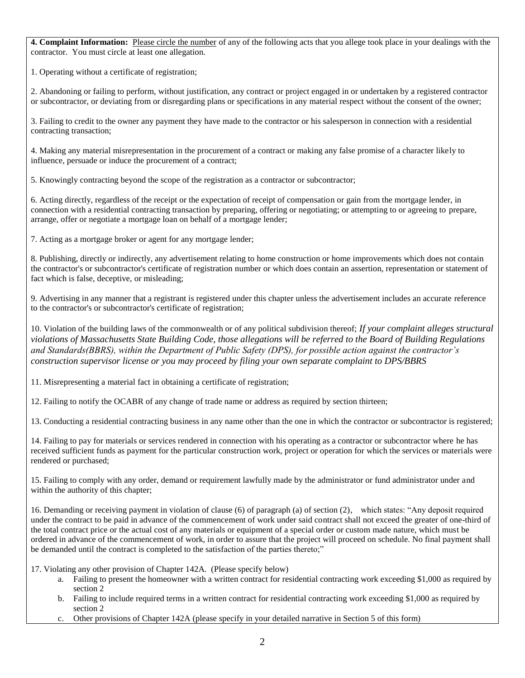**4. Complaint Information:** Please circle the number of any of the following acts that you allege took place in your dealings with the contractor. You must circle at least one allegation.

1. Operating without a certificate of registration;

2. Abandoning or failing to perform, without justification, any contract or project engaged in or undertaken by a registered contractor or subcontractor, or deviating from or disregarding plans or specifications in any material respect without the consent of the owner;

3. Failing to credit to the owner any payment they have made to the contractor or his salesperson in connection with a residential contracting transaction;

4. Making any material misrepresentation in the procurement of a contract or making any false promise of a character likely to influence, persuade or induce the procurement of a contract;

5. Knowingly contracting beyond the scope of the registration as a contractor or subcontractor;

6. Acting directly, regardless of the receipt or the expectation of receipt of compensation or gain from the mortgage lender, in connection with a residential contracting transaction by preparing, offering or negotiating; or attempting to or agreeing to prepare, arrange, offer or negotiate a mortgage loan on behalf of a mortgage lender;

7. Acting as a mortgage broker or agent for any mortgage lender;

8. Publishing, directly or indirectly, any advertisement relating to home construction or home improvements which does not contain the contractor's or subcontractor's certificate of registration number or which does contain an assertion, representation or statement of fact which is false, deceptive, or misleading;

9. Advertising in any manner that a registrant is registered under this chapter unless the advertisement includes an accurate reference to the contractor's or subcontractor's certificate of registration;

10. Violation of the building laws of the commonwealth or of any political subdivision thereof; *If your complaint alleges structural violations of Massachusetts State Building Code, those allegations will be referred to the Board of Building Regulations and Standards(BBRS), within the Department of Public Safety (DPS), for possible action against the contractor's construction supervisor license or you may proceed by filing your own separate complaint to DPS/BBRS*

11. Misrepresenting a material fact in obtaining a certificate of registration;

12. Failing to notify the OCABR of any change of trade name or address as required by section thirteen;

13. Conducting a residential contracting business in any name other than the one in which the contractor or subcontractor is registered;

14. Failing to pay for materials or services rendered in connection with his operating as a contractor or subcontractor where he has received sufficient funds as payment for the particular construction work, project or operation for which the services or materials were rendered or purchased;

15. Failing to comply with any order, demand or requirement lawfully made by the administrator or fund administrator under and within the authority of this chapter;

16. Demanding or receiving payment in violation of clause (6) of paragraph (a) of section (2), which states: "Any deposit required under the contract to be paid in advance of the commencement of work under said contract shall not exceed the greater of one-third of the total contract price or the actual cost of any materials or equipment of a special order or custom made nature, which must be ordered in advance of the commencement of work, in order to assure that the project will proceed on schedule. No final payment shall be demanded until the contract is completed to the satisfaction of the parties thereto;"

17. Violating any other provision of Chapter 142A. (Please specify below)

- a. Failing to present the homeowner with a written contract for residential contracting work exceeding \$1,000 as required by section 2
- b. Failing to include required terms in a written contract for residential contracting work exceeding \$1,000 as required by section 2
- c. Other provisions of Chapter 142A (please specify in your detailed narrative in Section 5 of this form)